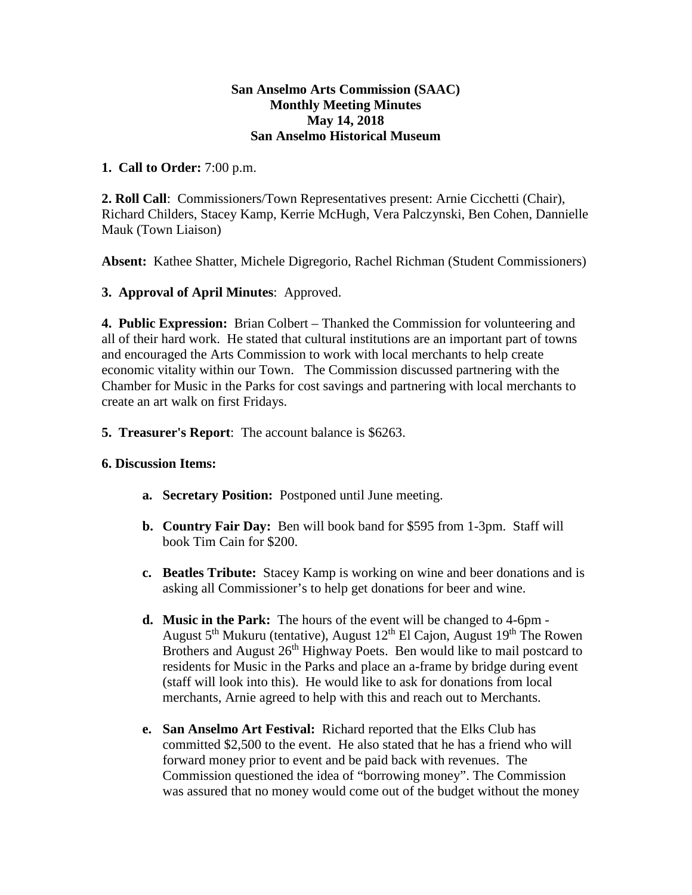## **San Anselmo Arts Commission (SAAC) Monthly Meeting Minutes May 14, 2018 San Anselmo Historical Museum**

## **1. Call to Order:** 7:00 p.m.

**2. Roll Call**: Commissioners/Town Representatives present: Arnie Cicchetti (Chair), Richard Childers, Stacey Kamp, Kerrie McHugh, Vera Palczynski, Ben Cohen, Dannielle Mauk (Town Liaison)

**Absent:** Kathee Shatter, Michele Digregorio, Rachel Richman (Student Commissioners)

**3. Approval of April Minutes**: Approved.

**4. Public Expression:** Brian Colbert – Thanked the Commission for volunteering and all of their hard work. He stated that cultural institutions are an important part of towns and encouraged the Arts Commission to work with local merchants to help create economic vitality within our Town. The Commission discussed partnering with the Chamber for Music in the Parks for cost savings and partnering with local merchants to create an art walk on first Fridays.

**5. Treasurer's Report**: The account balance is \$6263.

## **6. Discussion Items:**

- **a. Secretary Position:** Postponed until June meeting.
- **b. Country Fair Day:** Ben will book band for \$595 from 1-3pm. Staff will book Tim Cain for \$200.
- **c. Beatles Tribute:** Stacey Kamp is working on wine and beer donations and is asking all Commissioner's to help get donations for beer and wine.
- **d. Music in the Park:** The hours of the event will be changed to 4-6pm August  $5<sup>th</sup>$  Mukuru (tentative), August  $12<sup>th</sup>$  El Cajon, August  $19<sup>th</sup>$  The Rowen Brothers and August 26<sup>th</sup> Highway Poets. Ben would like to mail postcard to residents for Music in the Parks and place an a-frame by bridge during event (staff will look into this). He would like to ask for donations from local merchants, Arnie agreed to help with this and reach out to Merchants.
- **e. San Anselmo Art Festival:** Richard reported that the Elks Club has committed \$2,500 to the event. He also stated that he has a friend who will forward money prior to event and be paid back with revenues. The Commission questioned the idea of "borrowing money". The Commission was assured that no money would come out of the budget without the money